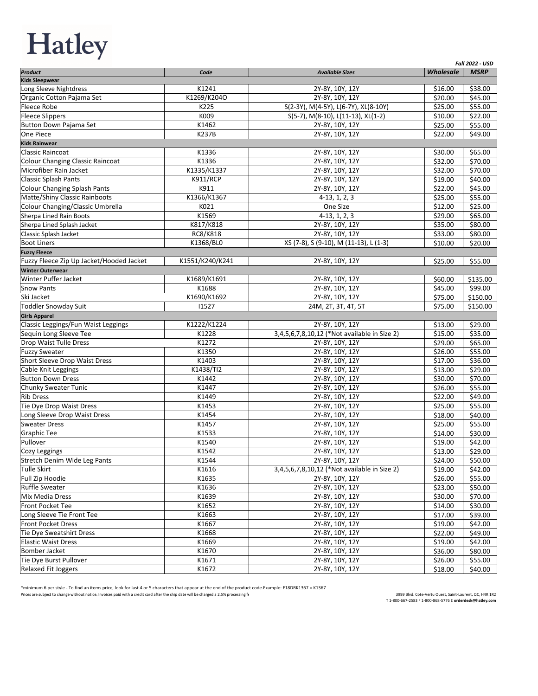## Hatley

|                                          |                 |                                              |                  | <b>Fall 2022 - USD</b> |
|------------------------------------------|-----------------|----------------------------------------------|------------------|------------------------|
| Product                                  | Code            | <b>Available Sizes</b>                       | <b>Wholesale</b> | <b>MSRP</b>            |
| <b>Kids Sleepwear</b>                    |                 |                                              |                  |                        |
| Long Sleeve Nightdress                   | K1241           | 2Y-8Y, 10Y, 12Y                              | \$16.00          | \$38.00                |
| Organic Cotton Pajama Set                | K1269/K204O     | 2Y-8Y, 10Y, 12Y                              | \$20.00          | \$45.00                |
| Fleece Robe                              | K225            | S(2-3Y), M(4-5Y), L(6-7Y), XL(8-10Y)         | \$25.00          | \$55.00                |
| <b>Fleece Slippers</b>                   | K009            | S(5-7), M(8-10), L(11-13), XL(1-2)           | \$10.00          | \$22.00                |
| Button Down Pajama Set                   | K1462           | 2Y-8Y, 10Y, 12Y                              | \$25.00          | \$55.00                |
| One Piece                                | <b>K237B</b>    | 2Y-8Y, 10Y, 12Y                              | \$22.00          | \$49.00                |
| <b>Kids Rainwear</b>                     |                 |                                              |                  |                        |
| Classic Raincoat                         | K1336           | 2Y-8Y, 10Y, 12Y                              | \$30.00          | \$65.00                |
| Colour Changing Classic Raincoat         | K1336           | 2Y-8Y, 10Y, 12Y                              | \$32.00          | \$70.00                |
| Microfiber Rain Jacket                   | K1335/K1337     | 2Y-8Y, 10Y, 12Y                              | \$32.00          | \$70.00                |
| <b>Classic Splash Pants</b>              | <b>K911/RCP</b> | 2Y-8Y, 10Y, 12Y                              | \$19.00          | \$40.00                |
| <b>Colour Changing Splash Pants</b>      | K911            | 2Y-8Y, 10Y, 12Y                              | \$22.00          | \$45.00                |
| Matte/Shiny Classic Rainboots            | K1366/K1367     | $4-13, 1, 2, 3$                              | \$25.00          | \$55.00                |
| Colour Changing/Classic Umbrella         | K021            | One Size                                     | \$12.00          | \$25.00                |
| Sherpa Lined Rain Boots                  | K1569           | $4-13, 1, 2, 3$                              | \$29.00          | \$65.00                |
| Sherpa Lined Splash Jacket               | K817/K818       | 2Y-8Y, 10Y, 12Y                              | \$35.00          | \$80.00                |
| Classic Splash Jacket                    | RC8/K818        | 2Y-8Y, 10Y, 12Y                              | \$33.00          | \$80.00                |
| <b>Boot Liners</b>                       | K1368/BL0       | XS (7-8), S (9-10), M (11-13), L (1-3)       | \$10.00          | \$20.00                |
| <b>Fuzzy Fleece</b>                      |                 |                                              |                  |                        |
| Fuzzy Fleece Zip Up Jacket/Hooded Jacket | K1551/K240/K241 | 2Y-8Y, 10Y, 12Y                              | \$25.00          | \$55.00                |
| <b>Winter Outerwear</b>                  |                 |                                              |                  |                        |
| Winter Puffer Jacket                     | K1689/K1691     | 2Y-8Y, 10Y, 12Y                              | \$60.00          | \$135.00               |
| <b>Snow Pants</b>                        | K1688           | 2Y-8Y, 10Y, 12Y                              | \$45.00          | \$99.00                |
| Ski Jacket                               | K1690/K1692     | 2Y-8Y, 10Y, 12Y                              | \$75.00          | \$150.00               |
| Toddler Snowday Suit                     | 11527           | 24M, 2T, 3T, 4T, 5T                          | \$75.00          | \$150.00               |
| <b>Girls Apparel</b>                     |                 |                                              |                  |                        |
| Classic Leggings/Fun Waist Leggings      | K1222/K1224     | 2Y-8Y, 10Y, 12Y                              | \$13.00          | \$29.00                |
| Sequin Long Sleeve Tee                   | K1228           | 3,4,5,6,7,8,10,12 (*Not available in Size 2) | \$15.00          | \$35.00                |
| Drop Waist Tulle Dress                   | K1272           | 2Y-8Y, 10Y, 12Y                              | \$29.00          | \$65.00                |
| <b>Fuzzy Sweater</b>                     | K1350           | 2Y-8Y, 10Y, 12Y                              | \$26.00          | \$55.00                |
| Short Sleeve Drop Waist Dress            | K1403           | 2Y-8Y, 10Y, 12Y                              | \$17.00          | \$36.00                |
| Cable Knit Leggings                      | K1438/TI2       | 2Y-8Y, 10Y, 12Y                              | \$13.00          | \$29.00                |
| <b>Button Down Dress</b>                 | K1442           | 2Y-8Y, 10Y, 12Y                              | \$30.00          | \$70.00                |
| Chunky Sweater Tunic                     | K1447           | 2Y-8Y, 10Y, 12Y                              | \$26.00          | \$55.00                |
| <b>Rib Dress</b>                         | K1449           | 2Y-8Y, 10Y, 12Y                              | \$22.00          | \$49.00                |
| Tie Dye Drop Waist Dress                 | K1453           | 2Y-8Y, 10Y, 12Y                              | \$25.00          | \$55.00                |
| Long Sleeve Drop Waist Dress             | K1454           | 2Y-8Y, 10Y, 12Y                              | \$18.00          | \$40.00                |
| <b>Sweater Dress</b>                     | K1457           | 2Y-8Y, 10Y, 12Y                              | \$25.00          | \$55.00                |
| <b>Graphic Tee</b>                       | K1533           | 2Y-8Y, 10Y, 12Y                              | \$14.00          | \$30.00                |
| Pullover                                 | K1540           | 2Y-8Y, 10Y, 12Y                              | \$19.00          | \$42.00                |
| Cozy Leggings                            | K1542           | 2Y-8Y, 10Y, 12Y                              | \$13.00          | \$29.00                |
| Stretch Denim Wide Leg Pants             | K1544           | 2Y-8Y, 10Y, 12Y                              | \$24.00          | \$50.00                |
| Tulle Skirt                              | K1616           | 3,4,5,6,7,8,10,12 (*Not available in Size 2) | \$19.00          | \$42.00                |
| Full Zip Hoodie                          | K1635           | 2Y-8Y, 10Y, 12Y                              | \$26.00          | \$55.00                |
| <b>Ruffle Sweater</b>                    | K1636           | 2Y-8Y, 10Y, 12Y                              | \$23.00          | \$50.00                |
| Mix Media Dress                          | K1639           | 2Y-8Y, 10Y, 12Y                              | \$30.00          | \$70.00                |
| Front Pocket Tee                         | K1652           | 2Y-8Y, 10Y, 12Y                              | \$14.00          | \$30.00                |
| Long Sleeve Tie Front Tee                | K1663           | 2Y-8Y, 10Y, 12Y                              | \$17.00          | \$39.00                |
| Front Pocket Dress                       | K1667           | 2Y-8Y, 10Y, 12Y                              | \$19.00          | \$42.00                |
| Tie Dye Sweatshirt Dress                 | K1668           | 2Y-8Y, 10Y, 12Y                              | \$22.00          | \$49.00                |
| <b>Elastic Waist Dress</b>               | K1669           | 2Y-8Y, 10Y, 12Y                              | \$19.00          | \$42.00                |
| <b>Bomber Jacket</b>                     | K1670           | 2Y-8Y, 10Y, 12Y                              | \$36.00          | \$80.00                |
| Tie Dye Burst Pullover                   | K1671           | 2Y-8Y, 10Y, 12Y                              | \$26.00          | \$55.00                |
| <b>Relaxed Fit Joggers</b>               | K1672           | 2Y-8Y, 10Y, 12Y                              | \$18.00          | \$40.00                |

\*minimum 6 per style - To find an items price, look for last 4 or 5 characters that appear at the end of the product code.Example: F18DRK1367 = K1367<br>Prices are subject to change without notice. Invoices paid with a credit

3999 Blvd. Cote-Vertu Ouest, Saint-Laurent, QC, H4R 1R2 T 1-800-667-2583 F 1-800-868-5776 E **orderdesk@hatley.com**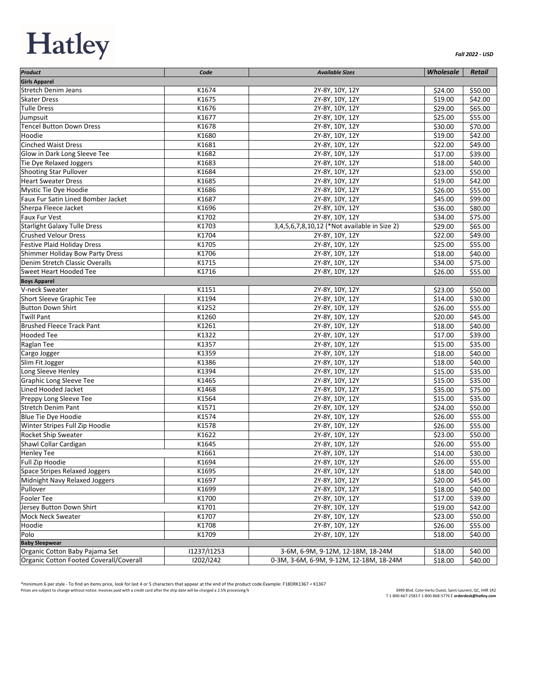## **Hatley**

| Product                                               | Code           | <b>Available Sizes</b>                       | <b>Wholesale</b>   | <b>Retail</b> |
|-------------------------------------------------------|----------------|----------------------------------------------|--------------------|---------------|
| <b>Girls Apparel</b>                                  |                |                                              |                    |               |
| <b>Stretch Denim Jeans</b>                            | K1674          | 2Y-8Y, 10Y, 12Y                              | \$24.00            | \$50.00       |
| <b>Skater Dress</b>                                   | K1675          | 2Y-8Y, 10Y, 12Y                              | \$19.00            | \$42.00       |
| <b>Tulle Dress</b>                                    | K1676          | 2Y-8Y, 10Y, 12Y                              | \$29.00            | \$65.00       |
| Jumpsuit                                              | K1677          | 2Y-8Y, 10Y, 12Y                              | \$25.00            | \$55.00       |
| <b>Tencel Button Down Dress</b>                       | K1678          | 2Y-8Y, 10Y, 12Y                              | \$30.00            | \$70.00       |
| Hoodie                                                | K1680          | 2Y-8Y, 10Y, 12Y                              | \$19.00            | \$42.00       |
| <b>Cinched Waist Dress</b>                            | K1681          | 2Y-8Y, 10Y, 12Y                              | \$22.00            | \$49.00       |
| Glow in Dark Long Sleeve Tee                          | K1682          | 2Y-8Y, 10Y, 12Y                              | \$17.00            | \$39.00       |
| Tie Dye Relaxed Joggers                               | K1683          | 2Y-8Y, 10Y, 12Y                              | \$18.00            | \$40.00       |
| <b>Shooting Star Pullover</b>                         | K1684          | 2Y-8Y, 10Y, 12Y                              | \$23.00            | \$50.00       |
| <b>Heart Sweater Dress</b>                            | K1685          | 2Y-8Y, 10Y, 12Y                              | \$19.00            | \$42.00       |
| Mystic Tie Dye Hoodie                                 | K1686          | 2Y-8Y, 10Y, 12Y                              | \$26.00            | \$55.00       |
| Faux Fur Satin Lined Bomber Jacket                    | K1687          | 2Y-8Y, 10Y, 12Y                              | \$45.00            | \$99.00       |
| Sherpa Fleece Jacket                                  | K1696          | 2Y-8Y, 10Y, 12Y                              | \$36.00            | \$80.00       |
| Faux Fur Vest                                         | K1702          | 2Y-8Y, 10Y, 12Y                              | \$34.00            | \$75.00       |
| <b>Starlight Galaxy Tulle Dress</b>                   | K1703          | 3,4,5,6,7,8,10,12 (*Not available in Size 2) | \$29.00            | \$65.00       |
| <b>Crushed Velour Dress</b>                           | K1704          | 2Y-8Y, 10Y, 12Y                              | \$22.00            | \$49.00       |
| <b>Festive Plaid Holiday Dress</b>                    | K1705          | 2Y-8Y, 10Y, 12Y                              | \$25.00            | \$55.00       |
| Shimmer Holiday Bow Party Dress                       | K1706          | 2Y-8Y, 10Y, 12Y                              | \$18.00            | \$40.00       |
| Denim Stretch Classic Overalls                        | K1715          | 2Y-8Y, 10Y, 12Y                              | \$34.00            | \$75.00       |
| Sweet Heart Hooded Tee                                | K1716          |                                              | \$26.00            | \$55.00       |
| <b>Boys Apparel</b>                                   |                | 2Y-8Y, 10Y, 12Y                              |                    |               |
| V-neck Sweater                                        | K1151          | 2Y-8Y, 10Y, 12Y                              | \$23.00            | \$50.00       |
| Short Sleeve Graphic Tee                              | K1194          |                                              |                    |               |
| <b>Button Down Shirt</b>                              |                | 2Y-8Y, 10Y, 12Y                              | \$14.00            | \$30.00       |
| <b>Twill Pant</b>                                     | K1252<br>K1260 | 2Y-8Y, 10Y, 12Y                              | \$26.00            | \$55.00       |
| <b>Brushed Fleece Track Pant</b>                      |                | 2Y-8Y, 10Y, 12Y                              | \$20.00            | \$45.00       |
| <b>Hooded Tee</b>                                     | K1261<br>K1322 | 2Y-8Y, 10Y, 12Y                              | \$18.00<br>\$17.00 | \$40.00       |
|                                                       |                | 2Y-8Y, 10Y, 12Y                              |                    | \$39.00       |
| Raglan Tee                                            | K1357<br>K1359 | 2Y-8Y, 10Y, 12Y                              | \$15.00            | \$35.00       |
| Cargo Jogger<br>Slim Fit Jogger                       | K1386          | 2Y-8Y, 10Y, 12Y                              | \$18.00            | \$40.00       |
|                                                       |                | 2Y-8Y, 10Y, 12Y                              | \$18.00            | \$40.00       |
| Long Sleeve Henley                                    | K1394          | 2Y-8Y, 10Y, 12Y                              | \$15.00            | \$35.00       |
| <b>Graphic Long Sleeve Tee</b><br>Lined Hooded Jacket | K1465<br>K1468 | 2Y-8Y, 10Y, 12Y                              | \$15.00            | \$35.00       |
|                                                       |                | 2Y-8Y, 10Y, 12Y                              | \$35.00            | \$75.00       |
| Preppy Long Sleeve Tee<br><b>Stretch Denim Pant</b>   | K1564          | 2Y-8Y, 10Y, 12Y                              | \$15.00            | \$35.00       |
|                                                       | K1571          | 2Y-8Y, 10Y, 12Y                              | \$24.00            | \$50.00       |
| Blue Tie Dye Hoodie                                   | K1574          | 2Y-8Y, 10Y, 12Y                              | \$26.00            | \$55.00       |
| Winter Stripes Full Zip Hoodie                        | K1578          | 2Y-8Y, 10Y, 12Y                              | \$26.00            | \$55.00       |
| Rocket Ship Sweater                                   | K1622          | 2Y-8Y, 10Y, 12Y                              | \$23.00            | \$50.00       |
| Shawl Collar Cardigan                                 | K1645          | 2Y-8Y, 10Y, 12Y                              | \$26.00            | \$55.00       |
| <b>Henley Tee</b>                                     | K1661          | 2Y-8Y, 10Y, 12Y                              | \$14.00            | \$30.00       |
| Full Zip Hoodie                                       | K1694          | 2Y-8Y, 10Y, 12Y                              | \$26.00            | \$55.00       |
| <b>Space Stripes Relaxed Joggers</b>                  | K1695          | 2Y-8Y, 10Y, 12Y                              | \$18.00            | \$40.00       |
| Midnight Navy Relaxed Joggers                         | K1697          | 2Y-8Y, 10Y, 12Y                              | \$20.00            | \$45.00       |
| Pullover                                              | K1699          | 2Y-8Y, 10Y, 12Y                              | \$18.00            | \$40.00       |
| Fooler Tee                                            | K1700          | 2Y-8Y, 10Y, 12Y                              | \$17.00            | \$39.00       |
| Jersey Button Down Shirt                              | K1701          | 2Y-8Y, 10Y, 12Y                              | \$19.00            | \$42.00       |
| <b>Mock Neck Sweater</b>                              | K1707          | 2Y-8Y, 10Y, 12Y                              | \$23.00            | \$50.00       |
| Hoodie                                                | K1708          | 2Y-8Y, 10Y, 12Y                              | \$26.00            | \$55.00       |
| Polo                                                  | K1709          | 2Y-8Y, 10Y, 12Y                              | \$18.00            | \$40.00       |
| <b>Baby Sleepwear</b>                                 |                |                                              |                    |               |
| Organic Cotton Baby Pajama Set                        | 11237/11253    | 3-6M, 6-9M, 9-12M, 12-18M, 18-24M            | \$18.00            | \$40.00       |
| Organic Cotton Footed Coverall/Coverall               | 1202/1242      | 0-3M, 3-6M, 6-9M, 9-12M, 12-18M, 18-24M      | \$18.00            | \$40.00       |

\*minimum 6 per style - To find an items price, look for last 4 or 5 characters that appear at the end of the product code.Example: F18DRK1367 = K1367 Prices are subject to change without notice. Invoices paid with a credit card after the ship date will be charged a 2.5% processing fi

3999 Blvd. Cote-Vertu Ouest, Saint-Laurent, QC, H4R 1R2 T 1-800-667-2583 F 1-800-868-5776 E **orderdesk@hatley.com**